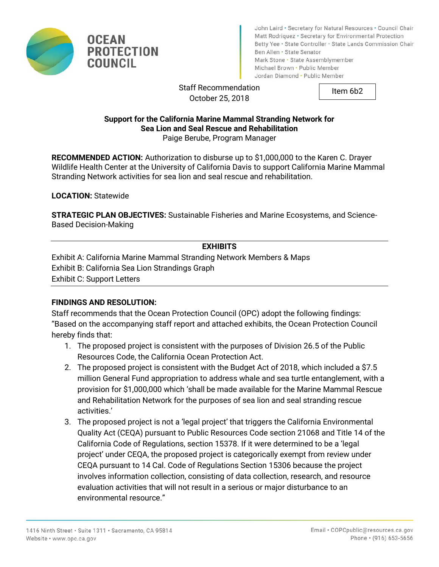



John Laird . Secretary for Natural Resources . Council Chair Matt Rodriquez · Secretary for Environmental Protection Betty Yee · State Controller · State Lands Commission Chair Ben Allen · State Senator Mark Stone · State Assemblymember Michael Brown . Public Member Jordan Diamond · Public Member

Staff Recommendation October 25, 2018

Item 6b2

#### **Support for the California Marine Mammal Stranding Network for Sea Lion and Seal Rescue and Rehabilitation**  Paige Berube, Program Manager

**RECOMMENDED ACTION:** Authorization to disburse up to \$1,000,000 to the Karen C. Drayer Wildlife Health Center at the University of California Davis to support California Marine Mammal Stranding Network activities for sea lion and seal rescue and rehabilitation.

**LOCATION:** Statewide

**STRATEGIC PLAN OBJECTIVES:** Sustainable Fisheries and Marine Ecosystems, and Science-Based Decision-Making

#### **EXHIBITS**

Exhibit A: California Marine Mammal Stranding Network Members & Maps Exhibit B: California Sea Lion Strandings Graph Exhibit C: Support Letters

#### **FINDINGS AND RESOLUTION:**

Staff recommends that the Ocean Protection Council (OPC) adopt the following findings: "Based on the accompanying staff report and attached exhibits, the Ocean Protection Council hereby finds that:

- 1. The proposed project is consistent with the purposes of Division 26.5 of the Public Resources Code, the California Ocean Protection Act.
- 2. The proposed project is consistent with the Budget Act of 2018, which included a \$7.5 million General Fund appropriation to address whale and sea turtle entanglement, with a provision for \$1,000,000 which 'shall be made available for the Marine Mammal Rescue and Rehabilitation Network for the purposes of sea lion and seal stranding rescue activities.'
- 3. The proposed project is not a 'legal project' that triggers the California Environmental Quality Act (CEQA) pursuant to Public Resources Code section 21068 and Title 14 of the California Code of Regulations, section 15378. If it were determined to be a 'legal project' under CEQA, the proposed project is categorically exempt from review under CEQA pursuant to 14 Cal. Code of Regulations Section 15306 because the project involves information collection, consisting of data collection, research, and resource evaluation activities that will not result in a serious or major disturbance to an environmental resource."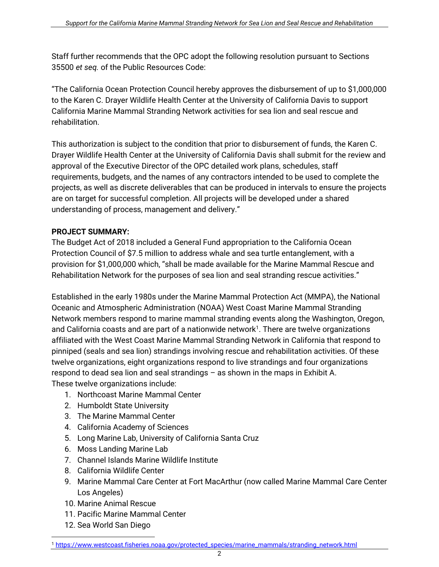Staff further recommends that the OPC adopt the following resolution pursuant to Sections 35500 *et seq.* of the Public Resources Code:

"The California Ocean Protection Council hereby approves the disbursement of up to \$1,000,000 to the Karen C. Drayer Wildlife Health Center at the University of California Davis to support California Marine Mammal Stranding Network activities for sea lion and seal rescue and rehabilitation.

This authorization is subject to the condition that prior to disbursement of funds, the Karen C. Drayer Wildlife Health Center at the University of California Davis shall submit for the review and approval of the Executive Director of the OPC detailed work plans, schedules, staff requirements, budgets, and the names of any contractors intended to be used to complete the projects, as well as discrete deliverables that can be produced in intervals to ensure the projects are on target for successful completion. All projects will be developed under a shared understanding of process, management and delivery."

# **PROJECT SUMMARY:**

The Budget Act of 2018 included a General Fund appropriation to the California Ocean Protection Council of \$7.5 million to address whale and sea turtle entanglement, with a provision for \$1,000,000 which, "shall be made available for the Marine Mammal Rescue and Rehabilitation Network for the purposes of sea lion and seal stranding rescue activities."

Established in the early 1980s under the Marine Mammal Protection Act (MMPA), the National Oceanic and Atmospheric Administration (NOAA) West Coast Marine Mammal Stranding Network members respond to marine mammal stranding events along the Washington, Oregon, and California coasts and are part of a nationwide network $^1$ . There are twelve organizations affiliated with the West Coast Marine Mammal Stranding Network in California that respond to pinniped (seals and sea lion) strandings involving rescue and rehabilitation activities. Of these twelve organizations, eight organizations respond to live strandings and four organizations respond to dead sea lion and seal strandings – as shown in the maps in Exhibit A. These twelve organizations include:

- 1. Northcoast Marine Mammal Center
- 2. Humboldt State University
- 3. The Marine Mammal Center
- 4. California Academy of Sciences
- 5. Long Marine Lab, University of California Santa Cruz
- 6. Moss Landing Marine Lab
- 7. Channel Islands Marine Wildlife Institute
- 8. California Wildlife Center
- 9. Marine Mammal Care Center at Fort MacArthur (now called Marine Mammal Care Center Los Angeles)
- 10. Marine Animal Rescue
- 11. Pacific Marine Mammal Center
- 12. Sea World San Diego

 $\overline{a}$ <sup>1</sup> [https://www.westcoast.fisheries.noaa.gov/protected\\_species/marine\\_mammals/stranding\\_network.html](https://www.westcoast.fisheries.noaa.gov/protected_species/marine_mammals/stranding_network.html)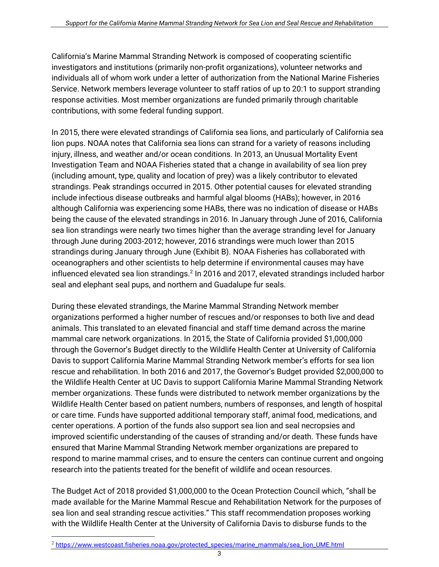California's Marine Mammal Stranding Network is composed of cooperating scientific investigators and institutions (primarily non-profit organizations), volunteer networks and individuals all of whom work under a letter of authorization from the National Marine Fisheries Service. Network members leverage volunteer to staff ratios of up to 20:1 to support stranding response activities. Most member organizations are funded primarily through charitable contributions, with some federal funding support.

In 2015, there were elevated strandings of California sea lions, and particularly of California sea lion pups. NOAA notes that California sea lions can strand for a variety of reasons including injury, illness, and weather and/or ocean conditions. In 2013, an Unusual Mortality Event Investigation Team and NOAA Fisheries stated that a change in availability of sea lion prey (including amount, type, quality and location of prey) was a likely contributor to elevated strandings. Peak strandings occurred in 2015. Other potential causes for elevated stranding include infectious disease outbreaks and harmful algal blooms (HABs); however, in 2016 although California was experiencing some HABs, there was no indication of disease or HABs being the cause of the elevated strandings in 2016. In January through June of 2016, California sea lion strandings were nearly two times higher than the average stranding level for January through June during 2003-2012; however, 2016 strandings were much lower than 2015 strandings during January through June (Exhibit B). NOAA Fisheries has collaborated with oceanographers and other scientists to help determine if environmental causes may have influenced elevated sea lion strandings. $^2$  In 2016 and 2017, elevated strandings included harbor seal and elephant seal pups, and northern and Guadalupe fur seals.

During these elevated strandings, the Marine Mammal Stranding Network member organizations performed a higher number of rescues and/or responses to both live and dead animals. This translated to an elevated financial and staff time demand across the marine mammal care network organizations. In 2015, the State of California provided \$1,000,000 through the Governor's Budget directly to the Wildlife Health Center at University of California Davis to support California Marine Mammal Stranding Network member's efforts for sea lion rescue and rehabilitation. In both 2016 and 2017, the Governor's Budget provided \$2,000,000 to the Wildlife Health Center at UC Davis to support California Marine Mammal Stranding Network member organizations. These funds were distributed to network member organizations by the Wildlife Health Center based on patient numbers, numbers of responses, and length of hospital or care time. Funds have supported additional temporary staff, animal food, medications, and center operations. A portion of the funds also support sea lion and seal necropsies and improved scientific understanding of the causes of stranding and/or death. These funds have ensured that Marine Mammal Stranding Network member organizations are prepared to respond to marine mammal crises, and to ensure the centers can continue current and ongoing research into the patients treated for the benefit of wildlife and ocean resources.

The Budget Act of 2018 provided \$1,000,000 to the Ocean Protection Council which, "shall be made available for the Marine Mammal Rescue and Rehabilitation Network for the purposes of sea lion and seal stranding rescue activities." This staff recommendation proposes working with the Wildlife Health Center at the University of California Davis to disburse funds to the

 $\overline{a}$ 

<sup>2</sup> [https://www.westcoast.fisheries.noaa.gov/protected\\_species/marine\\_mammals/sea\\_lion\\_UME.html](https://www.westcoast.fisheries.noaa.gov/protected_species/marine_mammals/sea_lion_UME.html)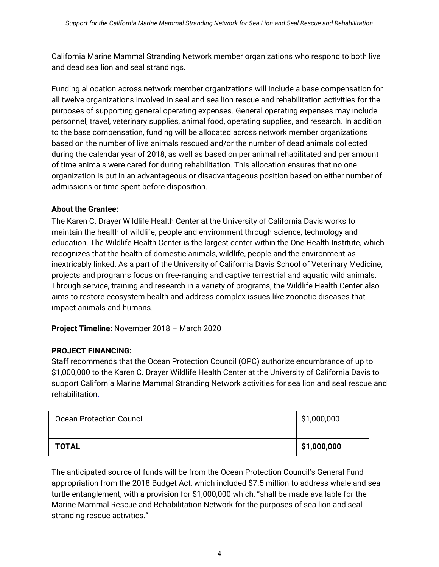California Marine Mammal Stranding Network member organizations who respond to both live and dead sea lion and seal strandings.

Funding allocation across network member organizations will include a base compensation for all twelve organizations involved in seal and sea lion rescue and rehabilitation activities for the purposes of supporting general operating expenses. General operating expenses may include personnel, travel, veterinary supplies, animal food, operating supplies, and research. In addition to the base compensation, funding will be allocated across network member organizations based on the number of live animals rescued and/or the number of dead animals collected during the calendar year of 2018, as well as based on per animal rehabilitated and per amount of time animals were cared for during rehabilitation. This allocation ensures that no one organization is put in an advantageous or disadvantageous position based on either number of admissions or time spent before disposition.

## **About the Grantee:**

The Karen C. Drayer Wildlife Health Center at the University of California Davis works to maintain the health of wildlife, people and environment through science, technology and education. The Wildlife Health Center is the largest center within the One Health Institute, which recognizes that the health of domestic animals, wildlife, people and the environment as inextricably linked. As a part of the University of California Davis School of Veterinary Medicine, projects and programs focus on free-ranging and captive terrestrial and aquatic wild animals. Through service, training and research in a variety of programs, the Wildlife Health Center also aims to restore ecosystem health and address complex issues like zoonotic diseases that impact animals and humans.

**Project Timeline:** November 2018 – March 2020

## **PROJECT FINANCING:**

Staff recommends that the Ocean Protection Council (OPC) authorize encumbrance of up to \$1,000,000 to the Karen C. Drayer Wildlife Health Center at the University of California Davis to support California Marine Mammal Stranding Network activities for sea lion and seal rescue and rehabilitation.

| <b>Ocean Protection Council</b> | \$1,000,000 |
|---------------------------------|-------------|
| <b>TOTAL</b>                    | \$1,000,000 |

The anticipated source of funds will be from the Ocean Protection Council's General Fund appropriation from the 2018 Budget Act, which included \$7.5 million to address whale and sea turtle entanglement, with a provision for \$1,000,000 which, "shall be made available for the Marine Mammal Rescue and Rehabilitation Network for the purposes of sea lion and seal stranding rescue activities."